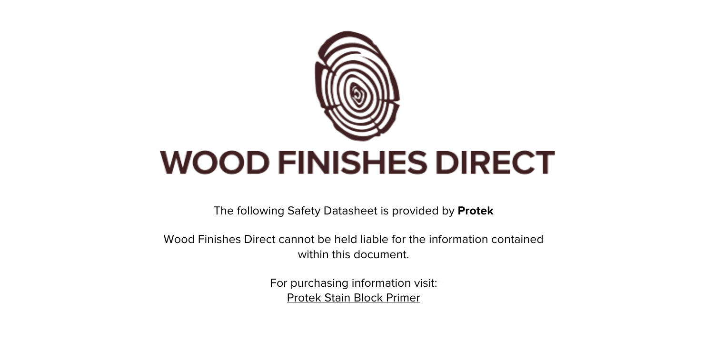

The following Safety Datasheet is provided by **Protek**

Wood Finishes Direct cannot be held liable for the information contained within this document

> For purchasing information visit: [Protek Stain Block Primer](https://www.wood-finishes-direct.com/product/protek-stain-block-primer)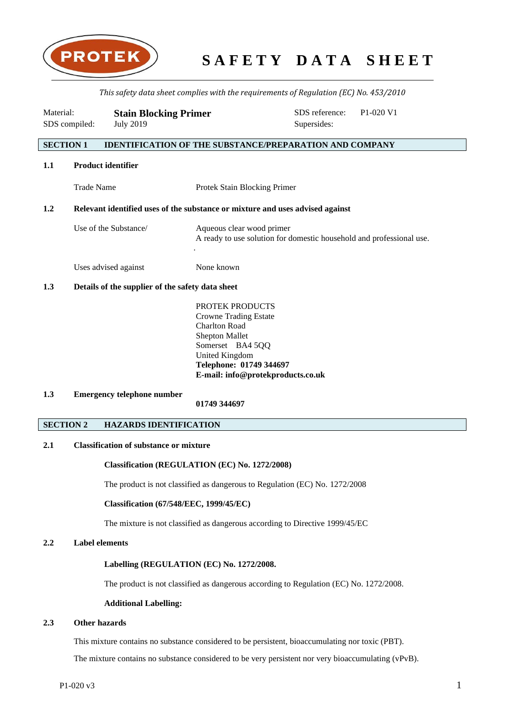

*This safety data sheet complies with the requirements of Regulation (EC) No. 453/2010*

| Material:<br>SDS compiled: |                   | <b>Stain Blocking Primer</b><br><b>July 2019</b> |                                                                                                   | SDS reference:<br>Supersides: | P <sub>1</sub> -020 V <sub>1</sub> |
|----------------------------|-------------------|--------------------------------------------------|---------------------------------------------------------------------------------------------------|-------------------------------|------------------------------------|
| <b>SECTION 1</b>           |                   |                                                  | <b>IDENTIFICATION OF THE SUBSTANCE/PREPARATION AND COMPANY</b>                                    |                               |                                    |
| 1.1                        |                   | <b>Product identifier</b>                        |                                                                                                   |                               |                                    |
|                            | <b>Trade Name</b> |                                                  | Protek Stain Blocking Primer                                                                      |                               |                                    |
| 1.2                        |                   |                                                  | Relevant identified uses of the substance or mixture and uses advised against                     |                               |                                    |
|                            |                   | Use of the Substance/                            | Aqueous clear wood primer<br>A ready to use solution for domestic household and professional use. |                               |                                    |
|                            |                   | Uses advised against                             | None known                                                                                        |                               |                                    |

# **1.3 Details of the supplier of the safety data sheet**

PROTEK PRODUCTS Crowne Trading Estate Charlton Road Shepton Mallet Somerset BA4 5QQ United Kingdom **Telephone: 01749 344697 E-mail: info@protekproducts.co.uk**

# **1.3 Emergency telephone number**

**01749 344697**

# **SECTION 2 HAZARDS IDENTIFICATION**

# **2.1 Classification of substance or mixture**

### **Classification (REGULATION (EC) No. 1272/2008)**

The product is not classified as dangerous to Regulation (EC) No. 1272/2008

## **Classification (67/548/EEC, 1999/45/EC)**

The mixture is not classified as dangerous according to Directive 1999/45/EC

# **2.2 Label elements**

# **Labelling (REGULATION (EC) No. 1272/2008.**

The product is not classified as dangerous according to Regulation (EC) No. 1272/2008.

### **Additional Labelling:**

# **2.3 Other hazards**

This mixture contains no substance considered to be persistent, bioaccumulating nor toxic (PBT).

The mixture contains no substance considered to be very persistent nor very bioaccumulating (vPvB).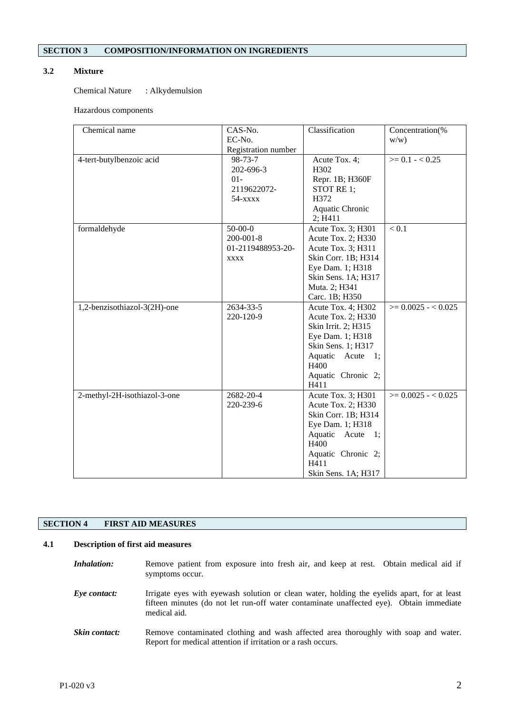# **SECTION 3 COMPOSITION/INFORMATION ON INGREDIENTS**

# **3.2 Mixture**

Chemical Nature : Alkydemulsion

### Hazardous components

| Chemical name                | CAS-No.             | Classification      | Concentration(%       |
|------------------------------|---------------------|---------------------|-----------------------|
|                              | EC-No.              |                     | w/w)                  |
|                              | Registration number |                     |                       |
| 4-tert-butylbenzoic acid     | 98-73-7             | Acute Tox. 4;       | $>= 0.1 - 0.25$       |
|                              | 202-696-3           | H302                |                       |
|                              | $01 -$              | Repr. 1B; H360F     |                       |
|                              | 2119622072-         | STOT RE 1;          |                       |
|                              | $54 - x$            | H372                |                       |
|                              |                     | Aquatic Chronic     |                       |
|                              |                     | 2; H411             |                       |
| formaldehyde                 | $50-00-0$           | Acute Tox. 3; H301  | < 0.1                 |
|                              | $200 - 001 - 8$     | Acute Tox. 2; H330  |                       |
|                              | 01-2119488953-20-   | Acute Tox. 3; H311  |                       |
|                              | <b>XXXX</b>         | Skin Corr. 1B; H314 |                       |
|                              |                     | Eye Dam. 1; H318    |                       |
|                              |                     | Skin Sens. 1A; H317 |                       |
|                              |                     | Muta. 2; H341       |                       |
|                              |                     | Carc. 1B; H350      |                       |
| 1,2-benzisothiazol-3(2H)-one | 2634-33-5           | Acute Tox. 4; H302  | $\geq 0.0025 - 0.025$ |
|                              | 220-120-9           | Acute Tox. 2; H330  |                       |
|                              |                     | Skin Irrit. 2; H315 |                       |
|                              |                     | Eye Dam. 1; H318    |                       |
|                              |                     | Skin Sens. 1; H317  |                       |
|                              |                     | Aquatic Acute 1;    |                       |
|                              |                     | H400                |                       |
|                              |                     | Aquatic Chronic 2;  |                       |
|                              |                     | H411                |                       |
| 2-methyl-2H-isothiazol-3-one | 2682-20-4           | Acute Tox. 3; H301  | $\geq 0.0025 - 0.025$ |
|                              | 220-239-6           | Acute Tox. 2; H330  |                       |
|                              |                     | Skin Corr. 1B; H314 |                       |
|                              |                     | Eye Dam. 1; H318    |                       |
|                              |                     | Aquatic Acute 1;    |                       |
|                              |                     | H400                |                       |
|                              |                     | Aquatic Chronic 2;  |                       |
|                              |                     | H411                |                       |
|                              |                     | Skin Sens. 1A; H317 |                       |

# **SECTION 4 FIRST AID MEASURES**

# **4.1 Description of first aid measures**

*Inhalation:* Remove patient from exposure into fresh air, and keep at rest. Obtain medical aid if symptoms occur.

*Eye contact:* Irrigate eyes with eyewash solution or clean water, holding the eyelids apart, for at least fifteen minutes (do not let run-off water contaminate unaffected eye). Obtain immediate medical aid.

**Skin contact:** Remove contaminated clothing and wash affected area thoroughly with soap and water. Report for medical attention if irritation or a rash occurs.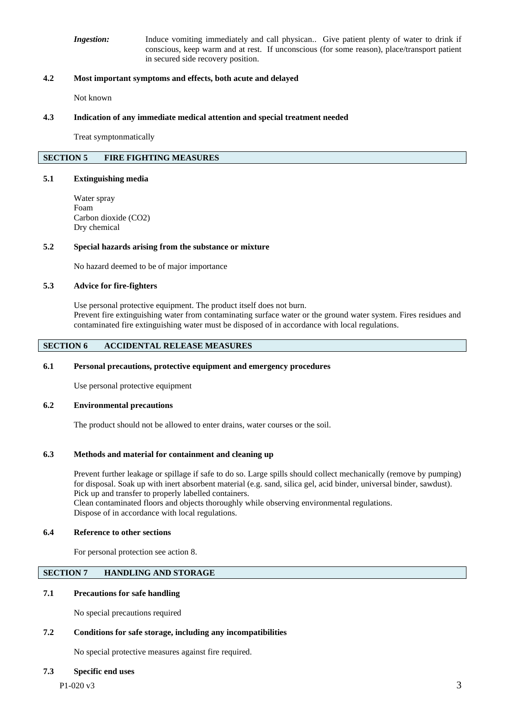**Ingestion:** Induce vomiting immediately and call physican.. Give patient plenty of water to drink if conscious, keep warm and at rest. If unconscious (for some reason), place/transport patient in secured side recovery position.

# **4.2 Most important symptoms and effects, both acute and delayed**

Not known

### **4.3 Indication of any immediate medical attention and special treatment needed**

Treat symptonmatically

# **SECTION 5 FIRE FIGHTING MEASURES**

#### **5.1 Extinguishing media**

Water spray Foam Carbon dioxide (CO2) Dry chemical

### **5.2 Special hazards arising from the substance or mixture**

No hazard deemed to be of major importance

## **5.3 Advice for fire-fighters**

Use personal protective equipment. The product itself does not burn. Prevent fire extinguishing water from contaminating surface water or the ground water system. Fires residues and contaminated fire extinguishing water must be disposed of in accordance with local regulations.

# **SECTION 6 ACCIDENTAL RELEASE MEASURES**

### **6.1 Personal precautions, protective equipment and emergency procedures**

Use personal protective equipment

### **6.2 Environmental precautions**

The product should not be allowed to enter drains, water courses or the soil.

### **6.3 Methods and material for containment and cleaning up**

Prevent further leakage or spillage if safe to do so. Large spills should collect mechanically (remove by pumping) for disposal. Soak up with inert absorbent material (e.g. sand, silica gel, acid binder, universal binder, sawdust). Pick up and transfer to properly labelled containers. Clean contaminated floors and objects thoroughly while observing environmental regulations. Dispose of in accordance with local regulations.

### **6.4 Reference to other sections**

For personal protection see action 8.

# **SECTION 7 HANDLING AND STORAGE**

### **7.1 Precautions for safe handling**

No special precautions required

### **7.2 Conditions for safe storage, including any incompatibilities**

No special protective measures against fire required.

### **7.3 Specific end uses**

 $P1-020 \text{ v}3$  3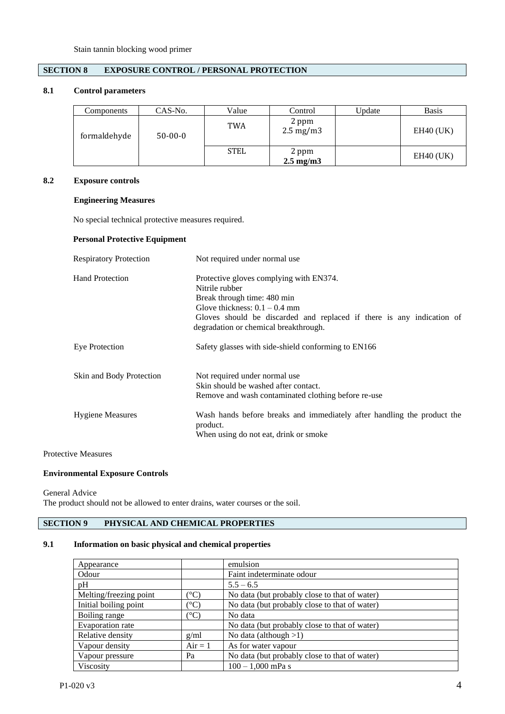# **SECTION 8 EXPOSURE CONTROL / PERSONAL PROTECTION**

# **8.1 Control parameters**

| Components   | CAS-No.   | Value       | Control                       | Update | <b>Basis</b> |
|--------------|-----------|-------------|-------------------------------|--------|--------------|
| formaldehyde | $50-00-0$ | TWA         | 2 ppm<br>$2.5 \text{ mg/m}$ 3 |        | $EH40$ (UK)  |
|              |           | <b>STEL</b> | 2 ppm<br>$2.5 \text{ mg/m}$   |        | $EH40$ (UK)  |

# **8.2 Exposure controls**

# **Engineering Measures**

No special technical protective measures required.

# **Personal Protective Equipment**

| <b>Respiratory Protection</b> | Not required under normal use                                                                                                                                                                                                                 |
|-------------------------------|-----------------------------------------------------------------------------------------------------------------------------------------------------------------------------------------------------------------------------------------------|
| <b>Hand Protection</b>        | Protective gloves complying with EN374.<br>Nitrile rubber<br>Break through time: 480 min<br>Glove thickness: $0.1 - 0.4$ mm<br>Gloves should be discarded and replaced if there is any indication of<br>degradation or chemical breakthrough. |
| Eye Protection                | Safety glasses with side-shield conforming to EN166                                                                                                                                                                                           |
| Skin and Body Protection      | Not required under normal use<br>Skin should be washed after contact.<br>Remove and wash contaminated clothing before re-use                                                                                                                  |
| <b>Hygiene Measures</b>       | Wash hands before breaks and immediately after handling the product the<br>product.<br>When using do not eat, drink or smoke                                                                                                                  |

Protective Measures

## **Environmental Exposure Controls**

General Advice

The product should not be allowed to enter drains, water courses or the soil.

# **SECTION 9 PHYSICAL AND CHEMICAL PROPERTIES**

# **9.1 Information on basic physical and chemical properties**

| Appearance             |                  | emulsion                                      |
|------------------------|------------------|-----------------------------------------------|
| Odour                  |                  | Faint indeterminate odour                     |
| pH                     |                  | $5.5 - 6.5$                                   |
| Melting/freezing point | $\rm ^{\circ}C)$ | No data (but probably close to that of water) |
| Initial boiling point  | $(^\circ C)$     | No data (but probably close to that of water) |
| Boiling range          | $(^\circ C)$     | No data                                       |
| Evaporation rate       |                  | No data (but probably close to that of water) |
| Relative density       | g/ml             | No data (although $>1$ )                      |
| Vapour density         | $Air = 1$        | As for water vapour                           |
| Vapour pressure        | Pa               | No data (but probably close to that of water) |
| Viscosity              |                  | $100 - 1,000$ mPa s                           |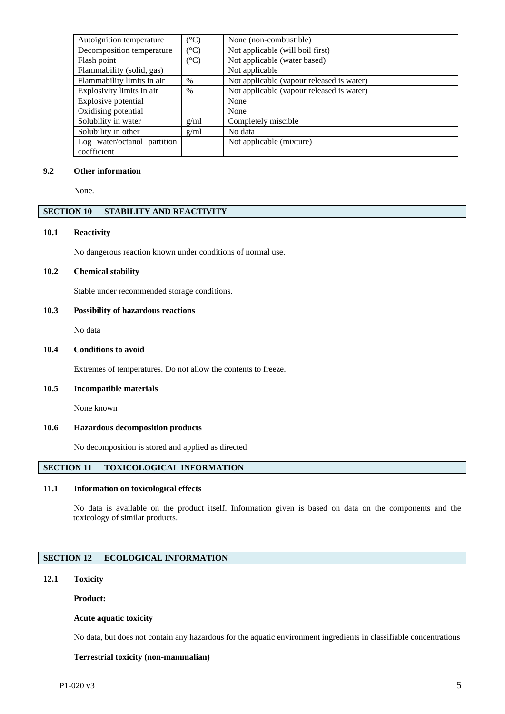| Autoignition temperature    | $(^\circ C)$  | None (non-combustible)                    |
|-----------------------------|---------------|-------------------------------------------|
| Decomposition temperature   | $(^{\circ}C)$ | Not applicable (will boil first)          |
| Flash point                 | $(^\circ C)$  | Not applicable (water based)              |
| Flammability (solid, gas)   |               | Not applicable                            |
| Flammability limits in air  | $\%$          | Not applicable (vapour released is water) |
| Explosivity limits in air   | $\%$          | Not applicable (vapour released is water) |
| Explosive potential         |               | None                                      |
| Oxidising potential         |               | None                                      |
| Solubility in water         | g/ml          | Completely miscible                       |
| Solubility in other         | g/ml          | No data                                   |
| Log water/octanol partition |               | Not applicable (mixture)                  |
| coefficient                 |               |                                           |

### **9.2 Other information**

None.

# **SECTION 10 STABILITY AND REACTIVITY**

## **10.1 Reactivity**

No dangerous reaction known under conditions of normal use.

### **10.2 Chemical stability**

Stable under recommended storage conditions.

# **10.3 Possibility of hazardous reactions**

No data

# **10.4 Conditions to avoid**

Extremes of temperatures. Do not allow the contents to freeze.

## **10.5 Incompatible materials**

None known

### **10.6 Hazardous decomposition products**

No decomposition is stored and applied as directed.

# **SECTION 11 TOXICOLOGICAL INFORMATION**

# **11.1 Information on toxicological effects**

No data is available on the product itself. Information given is based on data on the components and the toxicology of similar products.

# **SECTION 12 ECOLOGICAL INFORMATION**

# **12.1 Toxicity**

**Product:**

### **Acute aquatic toxicity**

No data, but does not contain any hazardous for the aquatic environment ingredients in classifiable concentrations

#### **Terrestrial toxicity (non-mammalian)**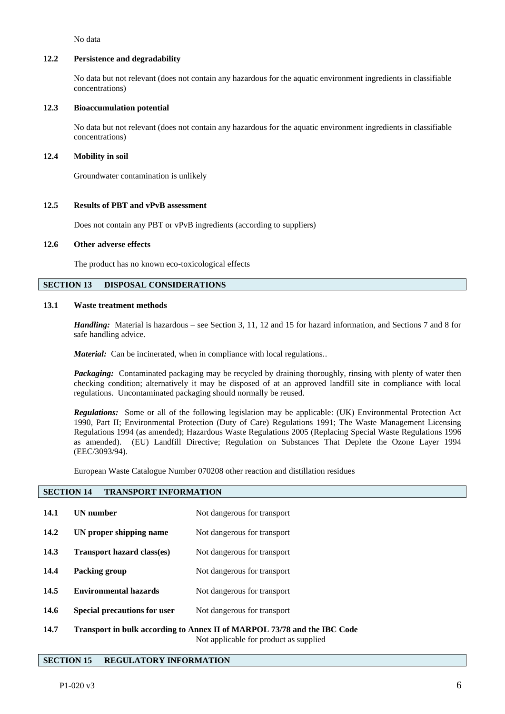No data

### **12.2 Persistence and degradability**

No data but not relevant (does not contain any hazardous for the aquatic environment ingredients in classifiable concentrations)

### **12.3 Bioaccumulation potential**

No data but not relevant (does not contain any hazardous for the aquatic environment ingredients in classifiable concentrations)

### **12.4 Mobility in soil**

Groundwater contamination is unlikely

### **12.5 Results of PBT and vPvB assessment**

Does not contain any PBT or vPvB ingredients (according to suppliers)

### **12.6 Other adverse effects**

The product has no known eco-toxicological effects

# **SECTION 13 DISPOSAL CONSIDERATIONS**

## **13.1 Waste treatment methods**

*Handling:* Material is hazardous – see Section 3, 11, 12 and 15 for hazard information, and Sections 7 and 8 for safe handling advice.

*Material:* Can be incinerated, when in compliance with local regulations..

*Packaging:* Contaminated packaging may be recycled by draining thoroughly, rinsing with plenty of water then checking condition; alternatively it may be disposed of at an approved landfill site in compliance with local regulations. Uncontaminated packaging should normally be reused.

*Regulations:* Some or all of the following legislation may be applicable: (UK) Environmental Protection Act 1990, Part II; Environmental Protection (Duty of Care) Regulations 1991; The Waste Management Licensing Regulations 1994 (as amended); Hazardous Waste Regulations 2005 (Replacing Special Waste Regulations 1996 as amended). (EU) Landfill Directive; Regulation on Substances That Deplete the Ozone Layer 1994 (EEC/3093/94).

European Waste Catalogue Number 070208 other reaction and distillation residues

# **SECTION 14 TRANSPORT INFORMATION**

| 14.1 | <b>UN</b> number                    | Not dangerous for transport                                              |
|------|-------------------------------------|--------------------------------------------------------------------------|
| 14.2 | UN proper shipping name             | Not dangerous for transport                                              |
| 14.3 | <b>Transport hazard class(es)</b>   | Not dangerous for transport                                              |
| 14.4 | Packing group                       | Not dangerous for transport                                              |
| 14.5 | <b>Environmental hazards</b>        | Not dangerous for transport                                              |
| 14.6 | <b>Special precautions for user</b> | Not dangerous for transport                                              |
| 14.7 |                                     | Transport in bulk according to Annex II of MARPOL 73/78 and the IBC Code |

Not applicable for product as supplied

# **SECTION 15 REGULATORY INFORMATION**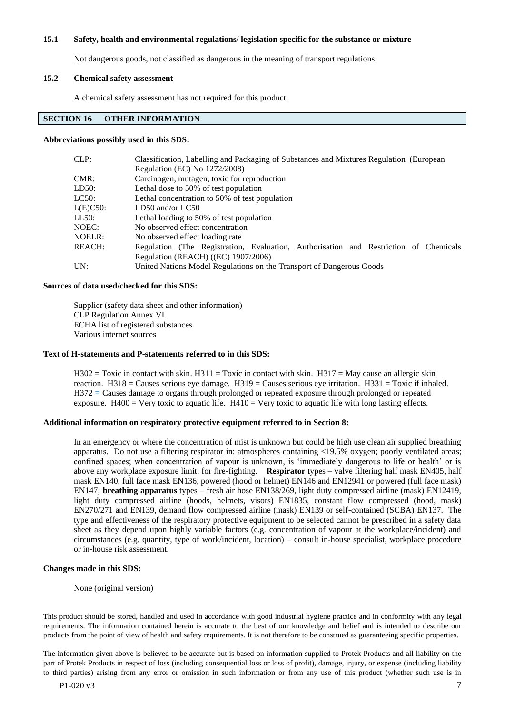### **15.1 Safety, health and environmental regulations/ legislation specific for the substance or mixture**

Not dangerous goods, not classified as dangerous in the meaning of transport regulations

### **15.2 Chemical safety assessment**

A chemical safety assessment has not required for this product.

# **SECTION 16 OTHER INFORMATION**

#### **Abbreviations possibly used in this SDS:**

| CLP:     | Classification, Labelling and Packaging of Substances and Mixtures Regulation (European |  |  |  |
|----------|-----------------------------------------------------------------------------------------|--|--|--|
|          | Regulation (EC) No 1272/2008)                                                           |  |  |  |
| CMR:     | Carcinogen, mutagen, toxic for reproduction                                             |  |  |  |
| LD50:    | Lethal dose to 50% of test population                                                   |  |  |  |
| LC50:    | Lethal concentration to 50% of test population                                          |  |  |  |
| L(E)C50: | $LD50$ and/or $LC50$                                                                    |  |  |  |
| LL50:    | Lethal loading to 50% of test population                                                |  |  |  |
| NOEC:    | No observed effect concentration                                                        |  |  |  |
| NOELR:   | No observed effect loading rate                                                         |  |  |  |
| REACH:   | Regulation (The Registration, Evaluation, Authorisation and Restriction of Chemicals    |  |  |  |
|          | Regulation (REACH) ((EC) 1907/2006)                                                     |  |  |  |
| UN:      | United Nations Model Regulations on the Transport of Dangerous Goods                    |  |  |  |

#### **Sources of data used/checked for this SDS:**

Supplier (safety data sheet and other information) CLP Regulation Annex VI ECHA list of registered substances Various internet sources

#### **Text of H-statements and P-statements referred to in this SDS:**

 $H302 = Toxic$  in contact with skin.  $H311 = Toxic$  in contact with skin.  $H317 = May$  cause an allergic skin reaction.  $H318 =$  Causes serious eye damage.  $H319 =$  Causes serious eye irritation.  $H331 =$  Toxic if inhaled. H372 = Causes damage to organs through prolonged or repeated exposure through prolonged or repeated exposure.  $H400 = V$ ery toxic to aquatic life.  $H410 = V$ ery toxic to aquatic life with long lasting effects.

# **Additional information on respiratory protective equipment referred to in Section 8:**

In an emergency or where the concentration of mist is unknown but could be high use clean air supplied breathing apparatus. Do not use a filtering respirator in: atmospheres containing <19.5% oxygen; poorly ventilated areas; confined spaces; when concentration of vapour is unknown, is 'immediately dangerous to life or health' or is above any workplace exposure limit; for fire-fighting. **Respirator** types – valve filtering half mask EN405, half mask EN140, full face mask EN136, powered (hood or helmet) EN146 and EN12941 or powered (full face mask) EN147; **breathing apparatus** types – fresh air hose EN138/269, light duty compressed airline (mask) EN12419, light duty compressed airline (hoods, helmets, visors) EN1835, constant flow compressed (hood, mask) EN270/271 and EN139, demand flow compressed airline (mask) EN139 or self-contained (SCBA) EN137. The type and effectiveness of the respiratory protective equipment to be selected cannot be prescribed in a safety data sheet as they depend upon highly variable factors (e.g. concentration of vapour at the workplace/incident) and circumstances (e.g. quantity, type of work/incident, location) – consult in-house specialist, workplace procedure or in-house risk assessment.

#### **Changes made in this SDS:**

None (original version)

This product should be stored, handled and used in accordance with good industrial hygiene practice and in conformity with any legal requirements. The information contained herein is accurate to the best of our knowledge and belief and is intended to describe our products from the point of view of health and safety requirements. It is not therefore to be construed as guaranteeing specific properties.

The information given above is believed to be accurate but is based on information supplied to Protek Products and all liability on the part of Protek Products in respect of loss (including consequential loss or loss of profit), damage, injury, or expense (including liability to third parties) arising from any error or omission in such information or from any use of this product (whether such use is in